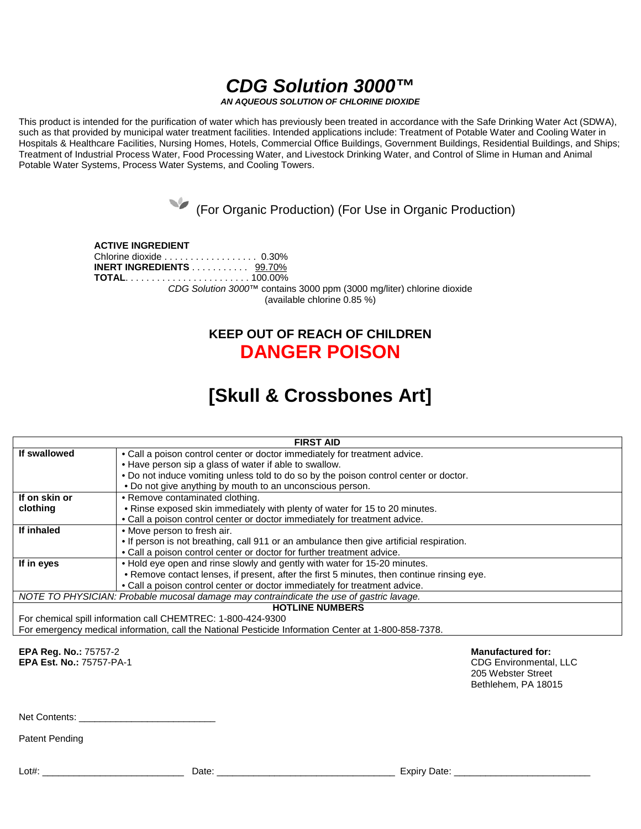# *CDG Solution 3000™*

*AN AQUEOUS SOLUTION OF CHLORINE DIOXIDE*

This product is intended for the purification of water which has previously been treated in accordance with the Safe Drinking Water Act (SDWA), such as that provided by municipal water treatment facilities. Intended applications include: Treatment of Potable Water and Cooling Water in Hospitals & Healthcare Facilities, Nursing Homes, Hotels, Commercial Office Buildings, Government Buildings, Residential Buildings, and Ships; Treatment of Industrial Process Water, Food Processing Water, and Livestock Drinking Water, and Control of Slime in Human and Animal Potable Water Systems, Process Water Systems, and Cooling Towers.

(For Organic Production) (For Use in Organic Production)

**ACTIVE INGREDIENT** Chlorine dioxide . . . . . . . . . . . . . . . . . . 0.30% **INERT INGREDIENTS** . . . . . . . . . . . 99.70% **TOTAL**. . . . . . . . . . . . . . . . . . . . . . . . 100.00% *CDG Solution 3000™* contains 3000 ppm (3000 mg/liter) chlorine dioxide (available chlorine 0.85 %)

# **KEEP OUT OF REACH OF CHILDREN DANGER POISON**

# **[Skull & Crossbones Art]**

| <b>FIRST AID</b>                                                                                     |                                                                                            |  |  |
|------------------------------------------------------------------------------------------------------|--------------------------------------------------------------------------------------------|--|--|
| If swallowed                                                                                         | • Call a poison control center or doctor immediately for treatment advice.                 |  |  |
|                                                                                                      | • Have person sip a glass of water if able to swallow.                                     |  |  |
|                                                                                                      | . Do not induce vomiting unless told to do so by the poison control center or doctor.      |  |  |
|                                                                                                      | . Do not give anything by mouth to an unconscious person.                                  |  |  |
| If on skin or                                                                                        | • Remove contaminated clothing.                                                            |  |  |
| clothing                                                                                             | . Rinse exposed skin immediately with plenty of water for 15 to 20 minutes.                |  |  |
|                                                                                                      | • Call a poison control center or doctor immediately for treatment advice.                 |  |  |
| If inhaled                                                                                           | • Move person to fresh air.                                                                |  |  |
|                                                                                                      | • If person is not breathing, call 911 or an ambulance then give artificial respiration.   |  |  |
|                                                                                                      | . Call a poison control center or doctor for further treatment advice.                     |  |  |
| If in eyes                                                                                           | . Hold eye open and rinse slowly and gently with water for 15-20 minutes.                  |  |  |
|                                                                                                      | . Remove contact lenses, if present, after the first 5 minutes, then continue rinsing eye. |  |  |
|                                                                                                      | . Call a poison control center or doctor immediately for treatment advice.                 |  |  |
| NOTE TO PHYSICIAN: Probable mucosal damage may contraindicate the use of gastric lavage.             |                                                                                            |  |  |
| <b>HOTLINE NUMBERS</b>                                                                               |                                                                                            |  |  |
| For chemical spill information call CHEMTREC: 1-800-424-9300                                         |                                                                                            |  |  |
| For emergency medical information, call the National Pesticide Information Center at 1-800-858-7378. |                                                                                            |  |  |

**EPA Reg. No.:** 75757-2 **Manufactured for: EPA Est. No.: 75757-PA-1** 

205 Webster Street Bethlehem, PA 18015

Net Contents:

Patent Pending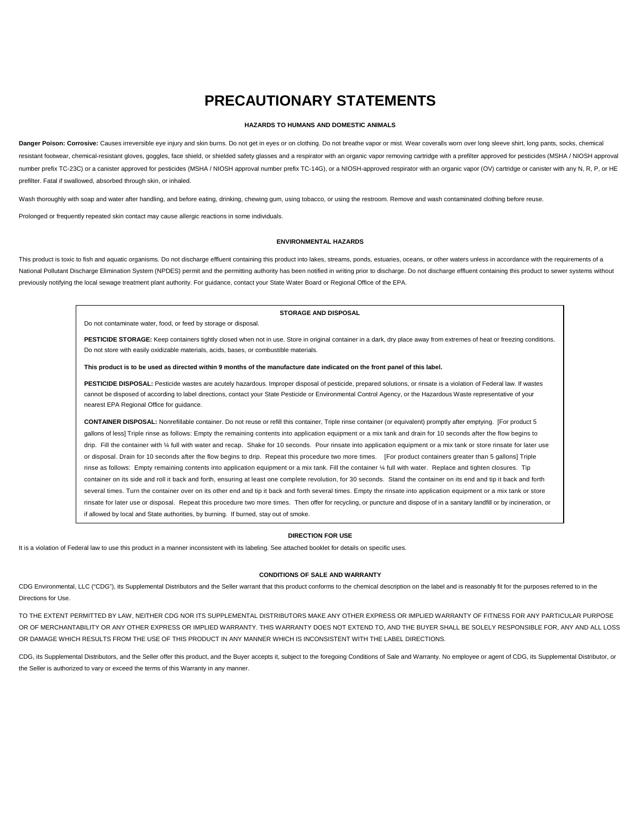# **PRECAUTIONARY STATEMENTS**

## **HAZARDS TO HUMANS AND DOMESTIC ANIMALS**

Danger Poison: Corrosive: Causes irreversible eye injury and skin burns. Do not get in eyes or on clothing. Do not breathe vapor or mist. Wear coveralls worn over long sleeve shirt, long pants, socks, chemical resistant footwear, chemical-resistant gloves, goggles, face shield, or shielded safety glasses and a respirator with an organic vapor removing cartridge with a prefilter approved for pesticides (MSHA / NIOSH approval number prefix TC-23C) or a canister approved for pesticides (MSHA / NIOSH approval number prefix TC-14G), or a NIOSH-approved respirator with an organic vapor (OV) cartridge or canister with any N, R, P, or HE prefilter. Fatal if swallowed, absorbed through skin, or inhaled.

Wash thoroughly with soap and water after handling, and before eating, drinking, chewing gum, using tobacco, or using the restroom. Remove and wash contaminated clothing before reuse.

Prolonged or frequently repeated skin contact may cause allergic reactions in some individuals.

#### **ENVIRONMENTAL HAZARDS**

This product is toxic to fish and aquatic organisms. Do not discharge effluent containing this product into lakes, streams, ponds, estuaries, oceans, or other waters unless in accordance with the requirements of a National Pollutant Discharge Elimination System (NPDES) permit and the permitting authority has been notified in writing prior to discharge. Do not discharge effluent containing this product to sewer systems without previously notifying the local sewage treatment plant authority. For guidance, contact your State Water Board or Regional Office of the EPA.

# **STORAGE AND DISPOSAL**

Do not contaminate water, food, or feed by storage or disposal.

PESTICIDE STORAGE: Keep containers tightly closed when not in use. Store in original container in a dark, dry place away from extremes of heat or freezing conditions. Do not store with easily oxidizable materials, acids, bases, or combustible materials.

#### **This product is to be used as directed within 9 months of the manufacture date indicated on the front panel of this label.**

PESTICIDE DISPOSAL: Pesticide wastes are acutely hazardous. Improper disposal of pesticide, prepared solutions, or rinsate is a violation of Federal law. If wastes cannot be disposed of according to label directions, contact your State Pesticide or Environmental Control Agency, or the Hazardous Waste representative of your nearest EPA Regional Office for guidance.

**CONTAINER DISPOSAL:** Nonrefillable container. Do not reuse or refill this container, Triple rinse container (or equivalent) promptly after emptying. [For product 5 gallons of less] Triple rinse as follows: Empty the remaining contents into application equipment or a mix tank and drain for 10 seconds after the flow begins to drip. Fill the container with ¼ full with water and recap. Shake for 10 seconds. Pour rinsate into application equipment or a mix tank or store rinsate for later use or disposal. Drain for 10 seconds after the flow begins to drip. Repeat this procedure two more times. [For product containers greater than 5 gallons] Triple rinse as follows: Empty remaining contents into application equipment or a mix tank. Fill the container ¼ full with water. Replace and tighten closures. Tip container on its side and roll it back and forth, ensuring at least one complete revolution, for 30 seconds. Stand the container on its end and tip it back and forth several times. Turn the container over on its other end and tip it back and forth several times. Empty the rinsate into application equipment or a mix tank or store rinsate for later use or disposal. Repeat this procedure two more times. Then offer for recycling, or puncture and dispose of in a sanitary landfill or by incineration, or if allowed by local and State authorities, by burning. If burned, stay out of smoke.

# **DIRECTION FOR USE**

It is a violation of Federal law to use this product in a manner inconsistent with its labeling. See attached booklet for details on specific uses.

# **CONDITIONS OF SALE AND WARRANTY**

CDG Environmental, LLC ("CDG"), its Supplemental Distributors and the Seller warrant that this product conforms to the chemical description on the label and is reasonably fit for the purposes referred to in the Directions for Use.

TO THE EXTENT PERMITTED BY LAW, NEITHER CDG NOR ITS SUPPLEMENTAL DISTRIBUTORS MAKE ANY OTHER EXPRESS OR IMPLIED WARRANTY OF FITNESS FOR ANY PARTICULAR PURPOSE OR OF MERCHANTABILITY OR ANY OTHER EXPRESS OR IMPLIED WARRANTY. THIS WARRANTY DOES NOT EXTEND TO, AND THE BUYER SHALL BE SOLELY RESPONSIBLE FOR, ANY AND ALL LOSS OR DAMAGE WHICH RESULTS FROM THE USE OF THIS PRODUCT IN ANY MANNER WHICH IS INCONSISTENT WITH THE LABEL DIRECTIONS.

CDG, its Supplemental Distributors, and the Seller offer this product, and the Buyer accepts it, subject to the foregoing Conditions of Sale and Warranty. No employee or agent of CDG, its Supplemental Distributor, or the Seller is authorized to vary or exceed the terms of this Warranty in any manner.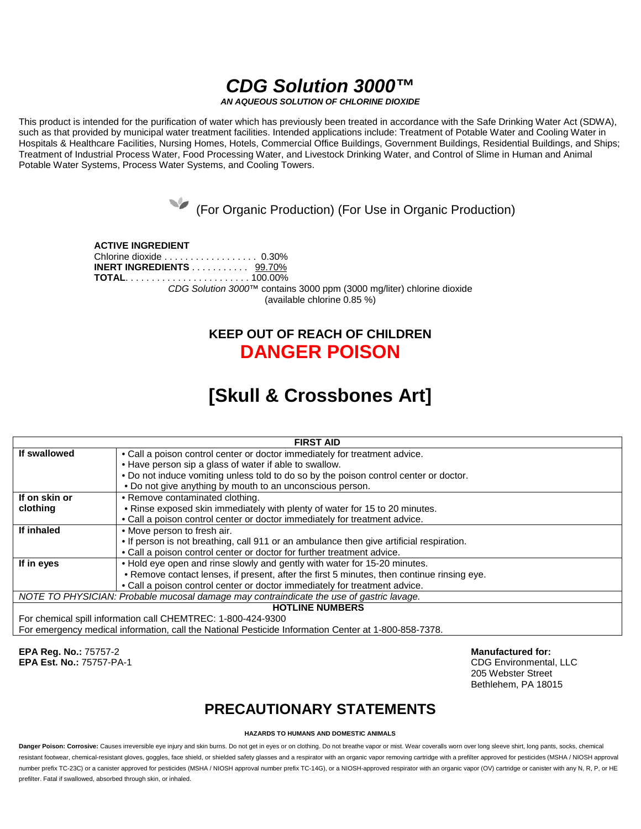# *CDG Solution 3000™*

*AN AQUEOUS SOLUTION OF CHLORINE DIOXIDE*

This product is intended for the purification of water which has previously been treated in accordance with the Safe Drinking Water Act (SDWA), such as that provided by municipal water treatment facilities. Intended applications include: Treatment of Potable Water and Cooling Water in Hospitals & Healthcare Facilities, Nursing Homes, Hotels, Commercial Office Buildings, Government Buildings, Residential Buildings, and Ships; Treatment of Industrial Process Water, Food Processing Water, and Livestock Drinking Water, and Control of Slime in Human and Animal Potable Water Systems, Process Water Systems, and Cooling Towers.

(For Organic Production) (For Use in Organic Production)

**ACTIVE INGREDIENT** Chlorine dioxide . . . . . . . . . . . . . . . . . . 0.30% **INERT INGREDIENTS** . . . . . . . . . . . 99.70% **TOTAL**. . . . . . . . . . . . . . . . . . . . . . . . 100.00% *CDG Solution 3000™* contains 3000 ppm (3000 mg/liter) chlorine dioxide (available chlorine 0.85 %)

# **KEEP OUT OF REACH OF CHILDREN DANGER POISON**

# **[Skull & Crossbones Art]**

| <b>FIRST AID</b>                                                                         |                                                                                            |  |
|------------------------------------------------------------------------------------------|--------------------------------------------------------------------------------------------|--|
| If swallowed                                                                             | • Call a poison control center or doctor immediately for treatment advice.                 |  |
|                                                                                          | • Have person sip a glass of water if able to swallow.                                     |  |
|                                                                                          | . Do not induce vomiting unless told to do so by the poison control center or doctor.      |  |
|                                                                                          | . Do not give anything by mouth to an unconscious person.                                  |  |
| If on skin or                                                                            | • Remove contaminated clothing.                                                            |  |
| clothing                                                                                 | . Rinse exposed skin immediately with plenty of water for 15 to 20 minutes.                |  |
|                                                                                          | . Call a poison control center or doctor immediately for treatment advice.                 |  |
| If inhaled                                                                               | • Move person to fresh air.                                                                |  |
|                                                                                          | • If person is not breathing, call 911 or an ambulance then give artificial respiration.   |  |
|                                                                                          | . Call a poison control center or doctor for further treatment advice.                     |  |
| If in eyes                                                                               | . Hold eye open and rinse slowly and gently with water for 15-20 minutes.                  |  |
|                                                                                          | . Remove contact lenses, if present, after the first 5 minutes, then continue rinsing eye. |  |
|                                                                                          | • Call a poison control center or doctor immediately for treatment advice.                 |  |
| NOTE TO PHYSICIAN: Probable mucosal damage may contraindicate the use of gastric lavage. |                                                                                            |  |
| <b>HOTLINE NUMBERS</b>                                                                   |                                                                                            |  |
| For chemical spill information call CHEMTREC: 1-800-424-9300                             |                                                                                            |  |

For chemical spill information call CHEMTREC: 1-800-424-9300 For emergency medical information, call the National Pesticide Information Center at 1-800-858-7378.

**EPA Reg. No.:** 75757-2 **Manufactured for: EPA Est. No.: 75757-PA-1** 

205 Webster Street Bethlehem, PA 18015

# **PRECAUTIONARY STATEMENTS**

# **HAZARDS TO HUMANS AND DOMESTIC ANIMALS**

Danger Poison: Corrosive: Causes irreversible eve injury and skin burns. Do not eet in eyes or on clothing. Do not breathe vapor or mist. Wear coveralls worn over long sleeve shirt, long pants, socks, chemical resistant footwear, chemical-resistant gloves, goggles, face shield, or shielded safety glasses and a respirator with an organic vapor removing cartridge with a prefilter approved for pesticides (MSHA / NIOSH approval number prefix TC-23C) or a canister approved for pesticides (MSHA / NIOSH approval number prefix TC-14G), or a NIOSH-approved respirator with an organic vapor (OV) cartridge or canister with any N, R, P, or HE prefilter. Fatal if swallowed, absorbed through skin, or inhaled.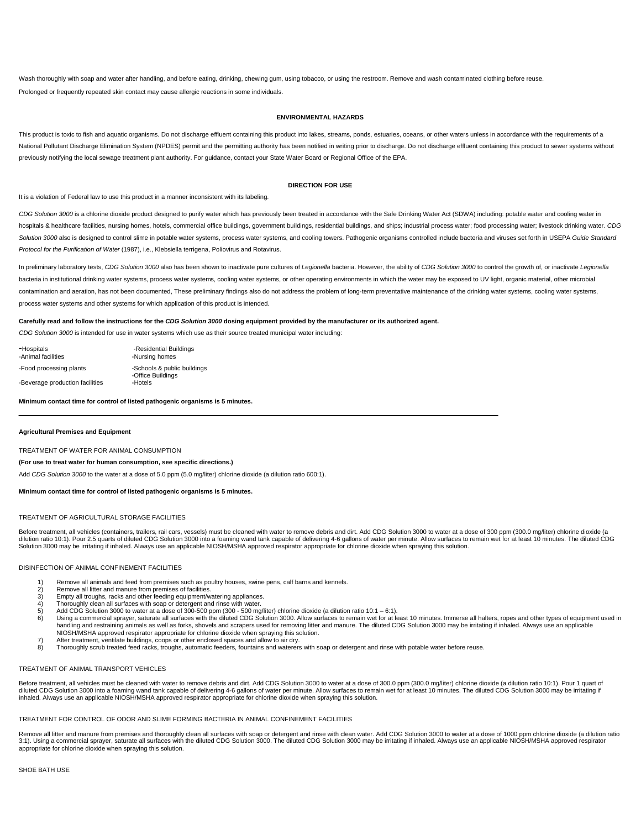Wash thoroughly with soap and water after handling, and before eating, drinking, chewing gum, using tobacco, or using the restroom. Remove and wash contaminated clothing before reuse. Prolonged or frequently repeated skin contact may cause allergic reactions in some individuals.

## **ENVIRONMENTAL HAZARDS**

This product is toxic to fish and aquatic organisms. Do not discharge effluent containing this product into lakes, streams, ponds, estuaries, oceans, or other waters unless in accordance with the requirements of a National Pollutant Discharge Elimination System (NPDES) permit and the permitting authority has been notified in writing prior to discharge. Do not discharge effluent containing this product to sewer systems without previously notifying the local sewage treatment plant authority. For guidance, contact your State Water Board or Regional Office of the EPA.

# **DIRECTION FOR USE**

It is a violation of Federal law to use this product in a manner inconsistent with its labeling.

CDG Solution 3000 is a chlorine dioxide product designed to purify water which has previously been treated in accordance with the Safe Drinking Water Act (SDWA) including: potable water and cooling water in hospitals & healthcare facilities, nursing homes, hotels, commercial office buildings, government buildings, residential buildings, and ships; industrial process water; food processing water; livestock drinking water. CDG Solution 3000 also is designed to control slime in potable water systems, process water systems, and cooling towers. Pathogenic organisms controlled include bacteria and viruses set forth in USEPA Guide Standard *Protocol for the Purification of Water* (1987), i.e., Klebsiella terrigena, Poliovirus and Rotavirus.

In preliminary laboratory tests, CDG Solution 3000 also has been shown to inactivate pure cultures of Legionella bacteria. However, the ability of CDG Solution 3000 to control the growth of, or inactivate Legionella bacteria in institutional drinking water systems, process water systems, cooling water systems, or other operating environments in which the water may be exposed to UV light, organic material, other microbial contamination and aeration, has not been documented. These preliminary findings also do not address the problem of long-term preventative maintenance of the drinking water systems, cooling water systems, cooling water syst process water systems and other systems for which application of this product is intended.

# **Carefully read and follow the instructions for the** *CDG Solution 3000* **dosing equipment provided by the manufacturer or its authorized agent.**

*CDG Solution 3000* is intended for use in water systems which use as their source treated municipal water including:

| -Hospitals<br>-Animal facilities | -Residential Buildings<br>-Nursing homes         |
|----------------------------------|--------------------------------------------------|
| -Food processing plants          | -Schools & public buildings<br>-Office Buildings |
| -Beverage production facilities  | -Hotels                                          |

# **Minimum contact time for control of listed pathogenic organisms is 5 minutes.**

#### **Agricultural Premises and Equipment**

TREATMENT OF WATER FOR ANIMAL CONSUMPTION

# **(For use to treat water for human consumption, see specific directions.)**

Add *CDG Solution 3000* to the water at a dose of 5.0 ppm (5.0 mg/liter) chlorine dioxide (a dilution ratio 600:1).

#### **Minimum contact time for control of listed pathogenic organisms is 5 minutes.**

# TREATMENT OF AGRICULTURAL STORAGE FACILITIES

Before treatment, all vehicles (containers, trailers, rail cars, vessels) must be cleaned with water to remove debris and dirt. Add CDG Solution 3000 to water at a dose of 300 ppm (300.0 mg/liter) chlorine dioxide (a dilution ratio 10:1). Pour 2.5 quarts of diluted CDG Solution 3000 into a foaming wand tank capable of delivering 4-6 gallons of water per minute. Allow surfaces to remain wet for at least 10 minutes. The diluted CDG Solution 3000 may be irritating if inhaled. Always use an applicable NIOSH/MSHA approved respirator appropriate for chlorine dioxide when spraying this solution.

#### DISINFECTION OF ANIMAL CONFINEMENT FACILITIES

- 1) Remove all animals and feed from premises such as poultry houses, swine pens, calf barns and kennels.
- 2) Remove all litter and manure from premises of facilities.<br>3) Empty all troughs, racks and other feeding equipment/w
- 3) Empty all troughs, racks and other feeding equipment/watering appliances.<br>4) Thoroughly clean all surfaces with soap or detergent and rinse with water
- 
- 4) Thoroughly clean all surfaces with soap or detergent and rinse with water. 5) Add CDG Solution 3000 to water at a dose of 300-500 ppm (300 500 mg/liter) chlorine dioxide (a dilution ratio 10:1 6:1).
- 6) Using a commercial sprayer, saturate all surfaces with the diluted CDG Solution 3000. Allow surfaces to remain wet for at least 10 minutes. Immerse all halters, ropes and other types of equipment used in handling and restraining animals as well as forks, shovels and scrapers used for removing litter and manure. The diluted CDG Solution 3000 may be irritating if inhaled. Always use an applicable<br>NIOSH/MSHA approved respirat
- 
- 7) After treatment, ventilate buildings, coops or other enclosed spaces and allow to air dry.<br>8) Thoroughly scrub treated feed racks, troughs, automatic feeders, fountains and waterers with soap or detergent and rinse with

#### TREATMENT OF ANIMAL TRANSPORT VEHICLES

Before treatment, all vehicles must be cleaned with water to remove debris and dirt. Add CDG Solution 3000 to water at a dose of 300.0 ppm (300.0 mg/liter) chlorine dioxide (a dilution ratio 10:1). Pour 1 quart of diluted CDG Solution 3000 into a foaming wand tank capable of delivering 4-6 gallons of water per minute. Allow surfaces to remain wet for at least 10 minutes. The diluted CDG Solution 3000 may be irritating if inhaled. Always use an applicable NIOSH/MSHA approved respirator appropriate for chlorine dioxide when spraying this solution.

# TREATMENT FOR CONTROL OF ODOR AND SLIME FORMING BACTERIA IN ANIMAL CONFINEMENT FACILITIES

Remove all litter and manure from premises and thoroughly clean all surfaces with soap or detergent and rinse with clean water. Add CDG Solution 3000 to water at a dose of 1000 ppm chlorine dioxide (a dilution ratio<br>3:1). appropriate for chlorine dioxide when spraying this solution.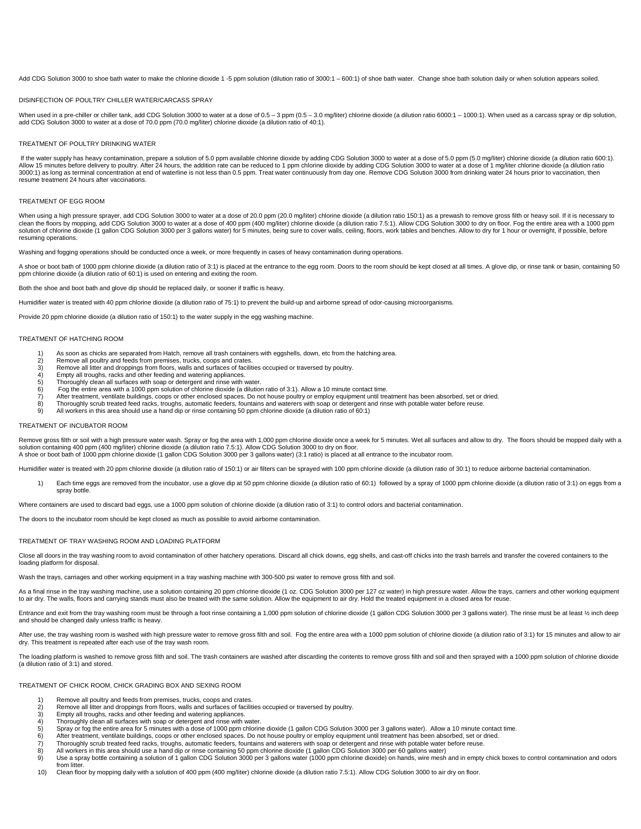Add CDG Solution 3000 to shoe bath water to make the chlorine dioxide 1 -5 ppm solution (dilution ratio of 3000:1 – 600:1) of shoe bath water. Change shoe bath solution daily or when solution appears soiled.

#### DISINFECTION OF POULTRY CHILLER WATER/CARCASS SPRAY

When used in a pre-chiller or chiller tank, add CDG Solution 3000 to water at a dose of 0.5 – 3 ppm (0.5 – 3.0 mg/liter) chlorine dioxide (a dilution ratio 6000:1 – 1000:1). When used as a carcass spray or dip solution, add CDG Solution 3000 to water at a dose of 70.0 ppm (70.0 mg/liter) chlorine dioxide (a dilution ratio of 40:1).

#### TREATMENT OF POULTRY DRINKING WATER

If the water supply has heavy contamination, prepare a solution of 5.0 ppm available chlorine dioxide by adding CDG Solution 3000 to water at a dose of 5.0 ppm (5.0 mg/liter) chlorine dioxide (a dilution ratio 600:1). Allow 15 minutes before delivery to poultry. After 24 hours, the addition rate can be reduced to 1 ppm chlorine dioxide by adding CDG Solution 3000 to water at a dose of 1 mg/liter chlorine dioxide (a dilution ration attio 3000:1) as long as terminal concentration at end of waterline is not less than 0.5 ppm. Treat water continuously from day one. Remove CDG Solution 3000 from drinking water 24 hours prior to vaccination, then resume treatment 24 hours after vaccinations.

#### TREATMENT OF EGG ROOM

When using a high pressure sprayer, add CDG Solution 3000 to water at a dose of 20.0 ppm (20.0 mg/liter) chlorine dioxide (a dilution ratio 150:1) as a prewash to remove gross filth or heavy soil. If it is necessary to clean the floors by mopping, add CDG Solution 3000 to water at a dose of 400 ppm (400 mg/liter) chlorine dioxide (a dilution ratio 7.5:1). Allow CDG Solution 3000 to dry on floor. Fog the entire area with a 1000 ppm<br>soluti resuming operations.

Washing and fogging operations should be conducted once a week, or more frequently in cases of heavy contamination during operations.

A shoe or boot bath of 1000 ppm chlorine dioxide (a dilution ratio of 3:1) is placed at the entrance to the egg room. Doors to the room should be kept closed at all times. A glove dip, or rinse tank or basin, containing 50

Both the shoe and boot bath and glove dip should be replaced daily, or sooner if traffic is heavy.

Humidifier water is treated with 40 ppm chlorine dioxide (a dilution ratio of 75:1) to prevent the build-up and airborne spread of odor-causing microorganisms.

Provide 20 ppm chlorine dioxide (a dilution ratio of 150:1) to the water supply in the egg washing machine.

#### TREATMENT OF HATCHING ROOM

- 1) As soon as chicks are separated from Hatch, remove all trash containers with eggshells, down, etc from the hatching area.<br>2) Remove all poultry and feeds from premises, trucks, coops and crates.
- 2) Remove all poultry and feeds from premises, trucks, coops and crates. 3) Remove all litter and droppings from floors, walls and surfaces of facilities occupied or traversed by poultry.
- 4) Empty all troughs, racks and other feeding and watering appliances.
- 
- 5) Thoroughly clean all surfaces with soap or detergent and rinse with water.<br>6) Fog the entire area with a 1000 ppm solution of chlorine dioxide (a dilution 6) Fog the entire area with a 1000 ppm solution of chlorine dioxide (a dilution ratio of 3:1). Allow a 10 minute contact time.
- 7) After treatment, ventilate buildings, coops or other enclosed spaces. Do not house poultry or employ equipment until treatment has been absorbed, set or dried.<br>8) Thoroughly scrub treated feed racks, troughs, automatic
- 8) Thoroughly scrub treated feed racks, troughs, automatic feeders, fountains and waterers with soap or detergent and rinse with potable water before reuse.<br>8) All workers in this area should use a hand dip or rinse contai
- 9) All workers in this area should use a hand dip or rinse containing 50 ppm chlorine dioxide (a dilution ratio of 60:1)

# TREATMENT OF INCUBATOR ROOM

Remove gross filth or soil with a high pressure water wash. Spray or fog the area with 1,000 ppm chlorine dioxide once a week for 5 minutes. Wet all surfaces and allow to dry. The floors should be mopped daily with a solution containing 400 ppm (400 mg/liter) chlorine dioxide (a dilution ratio 7.5:1). Allow CDG Solution 3000 to dry on floor. A shoe or boot bath of 1000 ppm chlorine dioxide (1 gallon CDG Solution 3000 per 3 gallons water) (3:1 ratio) is placed at all entrance to the incubator room.

Humidifier water is treated with 20 ppm chlorine dioxide (a dilution ratio of 150:1) or air filters can be sprayed with 100 ppm chlorine dioxide (a dilution ratio of 30:1) to reduce airborne bacterial contamination.

- 1) Each time eggs are removed from the incubator, use a glove dip at 50 ppm chlorine dioxide (a dilution ratio of 60:1) followed by a spray of 1000 ppm chlorine dioxide (a dilution ratio of 3:1) on eggs from a
- spray bottle. Where containers are used to discard bad eggs, use a 1000 ppm solution of chlorine dioxide (a dilution ratio of 3:1) to control odors and bacterial contamination.

The doors to the incubator room should be kept closed as much as possible to avoid airborne contamination.

#### TREATMENT OF TRAY WASHING ROOM AND LOADING PLATFORM

Close all doors in the tray washing room to avoid contamination of other hatchery operations. Discard all chick downs, egg shells, and cast-off chicks into the trash barrels and transfer the covered containers to the loading platform for disposal.

Wash the trays, carriages and other working equipment in a tray washing machine with 300-500 psi water to remove gross filth and soil.

As a final rinse in the tray washing machine, use a solution containing 20 ppm chlorine dioxide (1 oz. CDG Solution 3000 per 127 oz water) in high pressure water. Allow the trays, carriers and other working equipment to air dry. The walls, floors and carrying stands must also be treated with the same solution. Allow the equipment to air dry. Hold the treated equipment in a closed area for reuse.

Entrance and exit from the tray washing room must be through a foot rinse containing a 1,000 ppm solution of chlorine dioxide (1 gallon CDG Solution 3000 per 3 gallons water). The rinse must be at least 1/2 inch deep and should be changed daily unless traffic is heavy.

After use, the tray washing room is washed with high pressure water to remove gross filth and soil. Fog the entire area with a 1000 ppm solution of chlorine dioxide (a dilution ratio of 3:1) for 15 minutes and allow to air dry. This treatment is repeated after each use of the tray wash room.

The loading platform is washed to remove gross filth and soil. The trash containers are washed after discarding the contents to remove gross filth and soil and then sprayed with a 1000 ppm solution of chlorine dioxide (a dilution ratio of 3:1) and stored.

TREATMENT OF CHICK ROOM, CHICK GRADING BOX AND SEXING ROOM

- 
- 1) Remove all poultry and feeds from premises, trucks, coops and crates.<br>2) Remove all litter and droppings from floors, walls and surfaces of facilit 2) Remove all litter and droppings from floors, walls and surfaces of facilities occupied or traversed by poultry.<br>3) Empty all troughs, racks and other feeding and watering appliances
- 3) Empty all troughs, racks and other feeding and watering appliances. 4) Thoroughly clean all surfaces with soap or detergent and rinse with water.
- 
- 5) Spray or fog the entire area for 5 minutes with a dose of 1000 ppm chlorine dioxide (1 gallon CDG Solution 3000 per 3 gallons water). Allow a 10 minute contact time.<br>6) After treatment, ventilate buildings, coops or oth
- 6) After treatment, ventilate buildings, coops or other enclosed spaces. Do not house poultry or employ equipment until treatment has been absorbed, set or dried.<br>Thoroughly scrub treated feed racks, troughs, automatic fee 7) Thoroughly scrub treated feed racks, troughs, automatic feeders, fountains and waterers with soap or detergent and rinse with potable water before reuse.<br>8) All workers in this area should use a hand dip or rinse contai
- 
- 8) All workers in this area should use a hand dip or rinse containing 50 ppm chlorine dioxide (1 gallon CDG Solution 3000 per 60 gallons water)<br>9) Use a spray bottle containing a solution of 1 gallon CDG Solution 3000 per from litter
- 10) Clean floor by mopping daily with a solution of 400 ppm (400 mg/liter) chlorine dioxide (a dilution ratio 7.5:1). Allow CDG Solution 3000 to air dry on floor.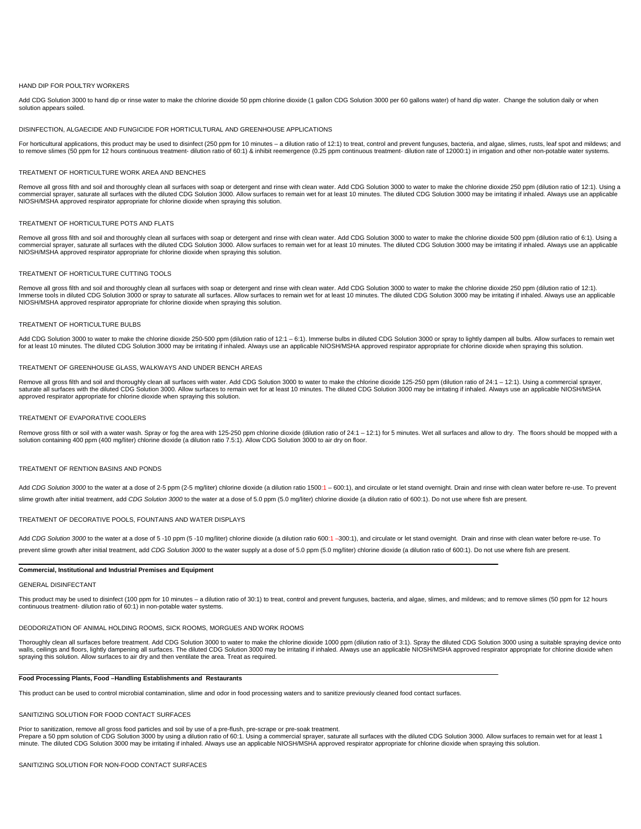## HAND DIP FOR POULTRY WORKERS

Add CDG Solution 3000 to hand dip or rinse water to make the chlorine dioxide 50 ppm chlorine dioxide (1 gallon CDG Solution 3000 per 60 gallons water) of hand dip water. Change the solution daily or when solution appears soiled.

#### DISINFECTION, ALGAECIDE AND FUNGICIDE FOR HORTICULTURAL AND GREENHOUSE APPLICATIONS

For horticultural applications, this product may be used to disinfect (250 ppm for 10 minutes - a dilution ratio of 12:1) to treat, control and prevent funguses, bacteria, and algae, slimes, rusts, leaf spot and mildews; a to remove slimes (50 ppm for 12 hours continuous treatment- dilution ratio of 60:1) & inhibit reemergence (0.25 ppm continuous treatment- dilution rate of 12000:1) in irrigation and other non-potable water systems.

#### TREATMENT OF HORTICULTURE WORK AREA AND BENCHES

Remove all gross filth and soil and thoroughly clean all surfaces with soap or detergent and rinse with clean water. Add CDG Solution 3000 to water to make the chlorine dioxide 250 ppm (dilution ratio of 12:1). Using a commercial sprayer, saturate all surfaces with the diluted CDG Solution 3000. Allow surfaces to remain wet for at least 10 minutes. The diluted CDG Solution 3000 may be irritating if inhaled. Always use an applicable NIOSH/MSHA approved respirator appropriate for chlorine dioxide when spraying this solution.

#### TREATMENT OF HORTICULTURE POTS AND ELATS

Remove all gross filth and soil and thoroughly clean all surfaces with soap or detergent and rinse with clean water. Add CDG Solution 3000 to water to make the chlorine dioxide 500 ppm (dilution ratio of 6:1). Using a commercial sprayer, saturate all surfaces with the diluted CDG Solution 3000. Allow surfaces to remain wet for at least 10 minutes. The diluted CDG Solution 3000 may be irritating if inhaled. Always use an applicable<br>NIOSH

#### TREATMENT OF HORTICULTURE CUTTING TOOLS

Remove all gross filth and soil and thoroughly clean all surfaces with soap or detergent and rinse with clean water. Add CDG Solution 3000 to water to make the chlorine dioxide 250 ppm (dilution ratio of 12:1). Immerse tools in diluted CDG Solution 3000 or spray to saturate all surfaces. Allow surfaces to remain wet for at least 10 minutes. The diluted CDG Solution 3000 may be irritating if inhaled. Always use an applicable NIOSH/MSHA approved respirator appropriate for chlorine dioxide when spraying this solution.

#### TREATMENT OF HORTICULTURE BULBS

Add CDG Solution 3000 to water to make the chlorine dioxide 250-500 ppm (dilution ratio of 12:1 – 6:1). Immerse bulbs in diluted CDG Solution 3000 or spray to lightly dampen all bulbs. Allow surfaces to remain wet<br>for at l

## TREATMENT OF GREENHOUSE GLASS, WALKWAYS AND UNDER BENCH AREAS

Remove all gross filth and soil and thoroughly clean all surfaces with water. Add CDG Solution 3000 to water to make the chlorine dioxide 125-250 ppm (dilution ratio of 24:1 - 12:1). Using a commercial sprayer, saturate all surfaces with the diluted CDG Solution 3000. Allow surfaces to remain wet for at least 10 minutes. The diluted CDG Solution 3000 may be irritating if inhaled. Always use an applicable NIOSH/MSHA approved respirator appropriate for chlorine dioxide when spraying this solution.

#### TREATMENT OF EVAPORATIVE COOLERS

Remove gross filth or soil with a water wash. Spray or fog the area with 125-250 ppm chlorine dioxide (dilution ratio of 24:1 – 12:1) for 5 minutes. Wet all surfaces and allow to dry. The floors should be mopped with a<br>so

#### TREATMENT OF RENTION BASINS AND PONDS

Add CDG Solution 3000 to the water at a dose of 2-5 ppm (2-5 mg/liter) chlorine dioxide (a dilution ratio 1500:1 - 600:1), and circulate or let stand overnight. Drain and rinse with clean water before re-use. To prevent slime growth after initial treatment, add *CDG Solution 3000* to the water at a dose of 5.0 ppm (5.0 mg/liter) chlorine dioxide (a dilution ratio of 600:1). Do not use where fish are present.

## TREATMENT OF DECORATIVE POOLS, FOUNTAINS AND WATER DISPLAYS

Add CDG Solution 3000 to the water at a dose of 5 -10 ppm (5 -10 mg/liter) chlorine dioxide (a dilution ratio 600:1 -300:1), and circulate or let stand overnight. Drain and rinse with clean water before re-use. To prevent slime growth after initial treatment, add CDG Solution 3000 to the water supply at a dose of 5.0 ppm (5.0 mg/liter) chlorine dioxide (a dilution ratio of 600:1). Do not use where fish are present.

## **Commercial, Institutional and Industrial Premises and Equipment**

#### GENERAL DISINFECTANT

This product may be used to disinfect (100 ppm for 10 minutes - a dilution ratio of 30:1) to treat, control and prevent funguses, bacteria, and algae, slimes, and mildews; and to remove slimes (50 ppm for 12 hours continuous treatment- dilution ratio of 60:1) in non-potable water systems.

#### DEODORIZATION OF ANIMAL HOLDING ROOMS, SICK ROOMS, MORGUES AND WORK ROOMS

Thoroughly clean all surfaces before treatment. Add CDG Solution 3000 to water to make the chlorine dioxide 1000 ppm (dilution ratio of 3:1). Spray the diluted CDG Solution 3000 using a suitable spraying device onto walls, ceilings and floors, lightly dampening all surfaces. The diluted CDG Solution 3000 may be irritating if inhaled. Always use an applicable NIOSH/MSHA approved respirator appropriate for chlorine dioxide when spraying this solution. Allow surfaces to air dry and then ventilate the area. Treat as required

#### **Food Processing Plants, Food –Handling Establishments and Restaurants**

This product can be used to control microbial contamination, slime and odor in food processing waters and to sanitize previously cleaned food contact surfaces.

#### SANITIZING SOLUTION FOR FOOD CONTACT SURFACES

Prior to sanitization, remove all gross food particles and soil by use of a pre-flush, pre-scrape or pre-soak treatment. Prepare a 50 ppm solution of CDG Solution 3000 by using a dilution ratio of 60:1. Using a commercial sprayer, saturate all surfaces with the diluted CDG Solution 3000. Allow surfaces to remain wet for at least 1<br>minute. Th

SANITIZING SOLUTION FOR NON-FOOD CONTACT SURFACES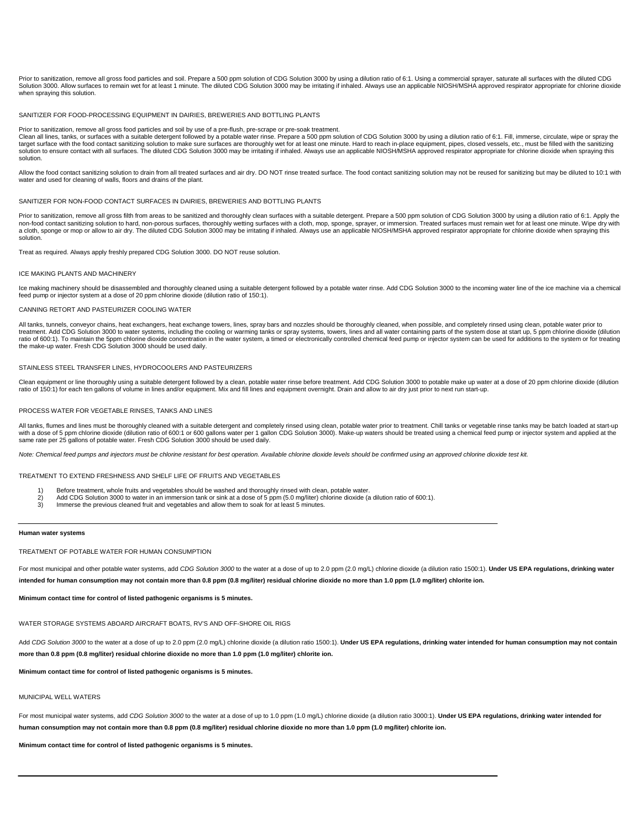Prior to sanitization, remove all gross food particles and soil. Prepare a 500 ppm solution of CDG Solution 3000 by using a dilution ratio of 6:1. Using a commercial sprayer, saturate all surfaces with the diluted CDG<br>Solu when spraying this solution.

#### SANITIZER FOR FOOD-PROCESSING FOLIJPMENT IN DAIRIES, BREWERIES AND BOTTLING PLANTS

Prior to sanitization, remove all gross food particles and soil by use of a pre-flush, pre-scrape or pre-soak treatment. Clean all lines, tanks, or surfaces with a suitable detergent followed by a potable water rinse. Prepare a 500 ppm solution of CDG Solution 3000 by using a dilution ratio of 6:1. Fill, immerse, circulate, wipe or spray the target surface with the food contact sanitizing solution to make sure surfaces are thoroughly wet for at least one minute. Hard to reach in-place equipment, pipes, closed vessels, etc., must be filled with the sanitizing solution to ensure contact with all surfaces. The diluted CDG Solution 3000 may be irritating if inhaled. Always use an applicable NIOSH/MSHA approved respirator appropriate for chlorine dioxide when spraying this solution.

Allow the food contact sanitizing solution to drain from all treated surfaces and air dry. DO NOT rinse treated surface. The food contact sanitizing solution may not be reused for sanitizing but may be diluted to 10:1 with water and used for cleaning of walls, floors and drains of the plant.

#### SANITIZER FOR NON-FOOD CONTACT SURFACES IN DAIRIES, BREWERIES AND BOTTLING PLANTS

Prior to sanitization, remove all gross filth from areas to be sanitized and thoroughly clean surfaces with a suitable detergent. Prepare a 500 ppm solution of CDG Solution 3000 by using a dilution ratio of 6:1. Apply the non-food contact sanitizing solution to hard, non-porous surfaces, thoroughly wetting surfaces with a cloth, mop, sponge, sprayer, or immersion. Treated surfaces must remain wet for at least one minute. Wipe dry with<br>a clo solution.

Treat as required. Always apply freshly prepared CDG Solution 3000. DO NOT reuse solution.

#### ICE MAKING PLANTS AND MACHINERY

Ice making machinery should be disassembled and thoroughly cleaned using a suitable detergent followed by a potable water rinse. Add CDG Solution 3000 to the incoming water line of the ice machine via a chemical feed pump or injector system at a dose of 20 ppm chlorine dioxide (dilution ratio of 150:1).

# CANNING RETORT AND PASTEURIZER COOLING WATER

All tanks, tunnels, conveyor chains, heat exchangers, heat exchange towers, lines, spray bars and nozzles should be thoroughly cleaned, when possible, and completely rinsed using clean, potable water prior to treatment. Add CDG Solution 3000 to water systems, including the cooling or warming tanks or spray systems, towers, lines and all water containing parts of the system dose at start up, 5 ppm chlorine dioxide (dilution ratio of 600:1). To maintain the 5ppm chlorine dioxide concentration in the water system, a timed or electronically controlled chemical feed pump or injector system can be used for additions to the system or for treating the make-up water. Fresh CDG Solution 3000 should be used daily.

#### STAINLESS STEEL TRANSFER LINES, HYDROCOOLERS AND PASTEURIZERS

Clean equipment or line thoroughly using a suitable detergent followed by a clean, potable water rinse before treatment. Add CDG Solution 3000 to potable make up water at a dose of 20 ppm chlorine dioxide (dilution ratio of 150:1) for each ten gallons of volume in lines and/or equipment. Mix and fill lines and equipment overnight. Drain and allow to air dry just prior to next run start-up.

#### PROCESS WATER FOR VEGETABLE RINSES, TANKS AND LINES

All tanks, flumes and lines must be thoroughly cleaned with a suitable detergent and completely rinsed using clean, potable water prior to treatment. Chill tanks or vegetable rinse tanks may be batch loaded at start-up with a dose of 5 ppm chlorine dioxide (dilution ratio of 600:1 or 600 gallons water per 1 gallon CDG Solution 3000). Make-up waters should be treated using a chemical feed pump or injector system and applied at the<br>same ra

Note: Chemical feed pumps and injectors must be chlorine resistant for best operation. Available chlorine dioxide levels should be confirmed using an approved chlorine dioxide test kit.

TREATMENT TO EXTEND FRESHNESS AND SHELF LIFE OF FRUITS AND VEGETABLES

- 1) Before treatment, whole fruits and vegetables should be washed and thoroughly rinsed with clean, potable water.<br>2) Add CDG Solution 3000 to water in an immersion tank or sink at a dose of 5 ppm (5.0 mg/liter) chlorine d
- 2) Add CDG Solution 3000 to water in an immersion tank or sink at a dose of 5 ppm (5.0 mg/liter) chlorine dioxide (a dilution ratio of 600:1).<br>3) Immerse the previous cleaned fruit and vegetables and allow them to soak for
- Immerse the previous cleaned fruit and vegetables and allow them to soak for at least 5 minutes.

#### **Human water systems**

#### TREATMENT OF POTABLE WATER FOR HUMAN CONSUMPTION

For most municipal and other potable water systems, add CDG Solution 3000 to the water at a dose of up to 2.0 ppm (2.0 mg/L) chlorine dioxide (a dilution ratio 1500:1). Under US EPA regulations, drinking water **intended for human consumption may not contain more than 0.8 ppm (0.8 mg/liter) residual chlorine dioxide no more than 1.0 ppm (1.0 mg/liter) chlorite ion.** 

**Minimum contact time for control of listed pathogenic organisms is 5 minutes.** 

#### WATER STORAGE SYSTEMS ABOARD AIRCRAFT BOATS, RV'S AND OFF-SHORE OIL RIGS

Add CDG Solution 3000 to the water at a dose of up to 2.0 ppm (2.0 mg/L) chlorine dioxide (a dilution ratio 1500:1). Under US EPA regulations, drinking water intended for human consumption may not contain **more than 0.8 ppm (0.8 mg/liter) residual chlorine dioxide no more than 1.0 ppm (1.0 mg/liter) chlorite ion.** 

## **Minimum contact time for control of listed pathogenic organisms is 5 minutes.**

### MUNICIPAL WELL WATERS

For most municipal water systems, add *CDG Solution 3000* to the water at a dose of up to 1.0 ppm (1.0 mg/L) chlorine dioxide (a dilution ratio 3000:1). **Under US EPA regulations, drinking water intended for**  human consumption may not contain more than 0.8 ppm (0.8 mg/liter) residual chlorine dioxide no more than 1.0 ppm (1.0 mg/liter) chlorite ion.

**Minimum contact time for control of listed pathogenic organisms is 5 minutes.**